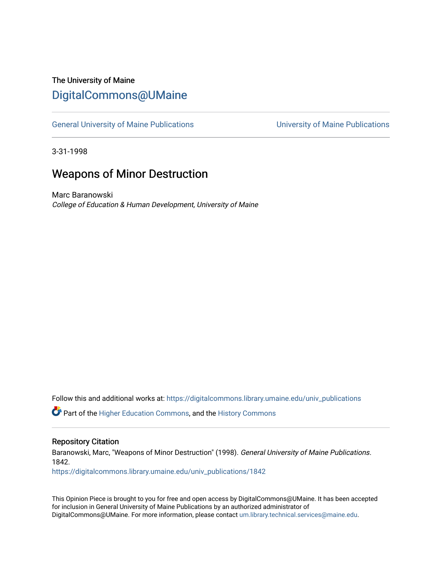## The University of Maine [DigitalCommons@UMaine](https://digitalcommons.library.umaine.edu/)

[General University of Maine Publications](https://digitalcommons.library.umaine.edu/univ_publications) [University of Maine Publications](https://digitalcommons.library.umaine.edu/umaine_publications) 

3-31-1998

## Weapons of Minor Destruction

Marc Baranowski College of Education & Human Development, University of Maine

Follow this and additional works at: [https://digitalcommons.library.umaine.edu/univ\\_publications](https://digitalcommons.library.umaine.edu/univ_publications?utm_source=digitalcommons.library.umaine.edu%2Funiv_publications%2F1842&utm_medium=PDF&utm_campaign=PDFCoverPages) 

**C** Part of the [Higher Education Commons,](http://network.bepress.com/hgg/discipline/1245?utm_source=digitalcommons.library.umaine.edu%2Funiv_publications%2F1842&utm_medium=PDF&utm_campaign=PDFCoverPages) and the [History Commons](http://network.bepress.com/hgg/discipline/489?utm_source=digitalcommons.library.umaine.edu%2Funiv_publications%2F1842&utm_medium=PDF&utm_campaign=PDFCoverPages)

#### Repository Citation

Baranowski, Marc, "Weapons of Minor Destruction" (1998). General University of Maine Publications. 1842.

[https://digitalcommons.library.umaine.edu/univ\\_publications/1842](https://digitalcommons.library.umaine.edu/univ_publications/1842?utm_source=digitalcommons.library.umaine.edu%2Funiv_publications%2F1842&utm_medium=PDF&utm_campaign=PDFCoverPages)

This Opinion Piece is brought to you for free and open access by DigitalCommons@UMaine. It has been accepted for inclusion in General University of Maine Publications by an authorized administrator of DigitalCommons@UMaine. For more information, please contact [um.library.technical.services@maine.edu](mailto:um.library.technical.services@maine.edu).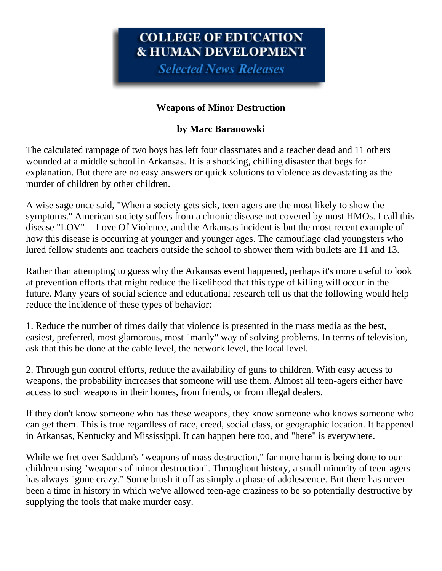# COLLEGE OF EDUCATION **& HUMAN DEVELOPMENT**

**Selected News Releases** 

### **Weapons of Minor Destruction**

### **by Marc Baranowski**

The calculated rampage of two boys has left four classmates and a teacher dead and 11 others wounded at a middle school in Arkansas. It is a shocking, chilling disaster that begs for explanation. But there are no easy answers or quick solutions to violence as devastating as the murder of children by other children.

A wise sage once said, "When a society gets sick, teen-agers are the most likely to show the symptoms." American society suffers from a chronic disease not covered by most HMOs. I call this disease "LOV" -- Love Of Violence, and the Arkansas incident is but the most recent example of how this disease is occurring at younger and younger ages. The camouflage clad youngsters who lured fellow students and teachers outside the school to shower them with bullets are 11 and 13.

Rather than attempting to guess why the Arkansas event happened, perhaps it's more useful to look at prevention efforts that might reduce the likelihood that this type of killing will occur in the future. Many years of social science and educational research tell us that the following would help reduce the incidence of these types of behavior:

1. Reduce the number of times daily that violence is presented in the mass media as the best, easiest, preferred, most glamorous, most "manly" way of solving problems. In terms of television, ask that this be done at the cable level, the network level, the local level.

2. Through gun control efforts, reduce the availability of guns to children. With easy access to weapons, the probability increases that someone will use them. Almost all teen-agers either have access to such weapons in their homes, from friends, or from illegal dealers.

If they don't know someone who has these weapons, they know someone who knows someone who can get them. This is true regardless of race, creed, social class, or geographic location. It happened in Arkansas, Kentucky and Mississippi. It can happen here too, and "here" is everywhere.

While we fret over Saddam's "weapons of mass destruction," far more harm is being done to our children using "weapons of minor destruction". Throughout history, a small minority of teen-agers has always "gone crazy." Some brush it off as simply a phase of adolescence. But there has never been a time in history in which we've allowed teen-age craziness to be so potentially destructive by supplying the tools that make murder easy.